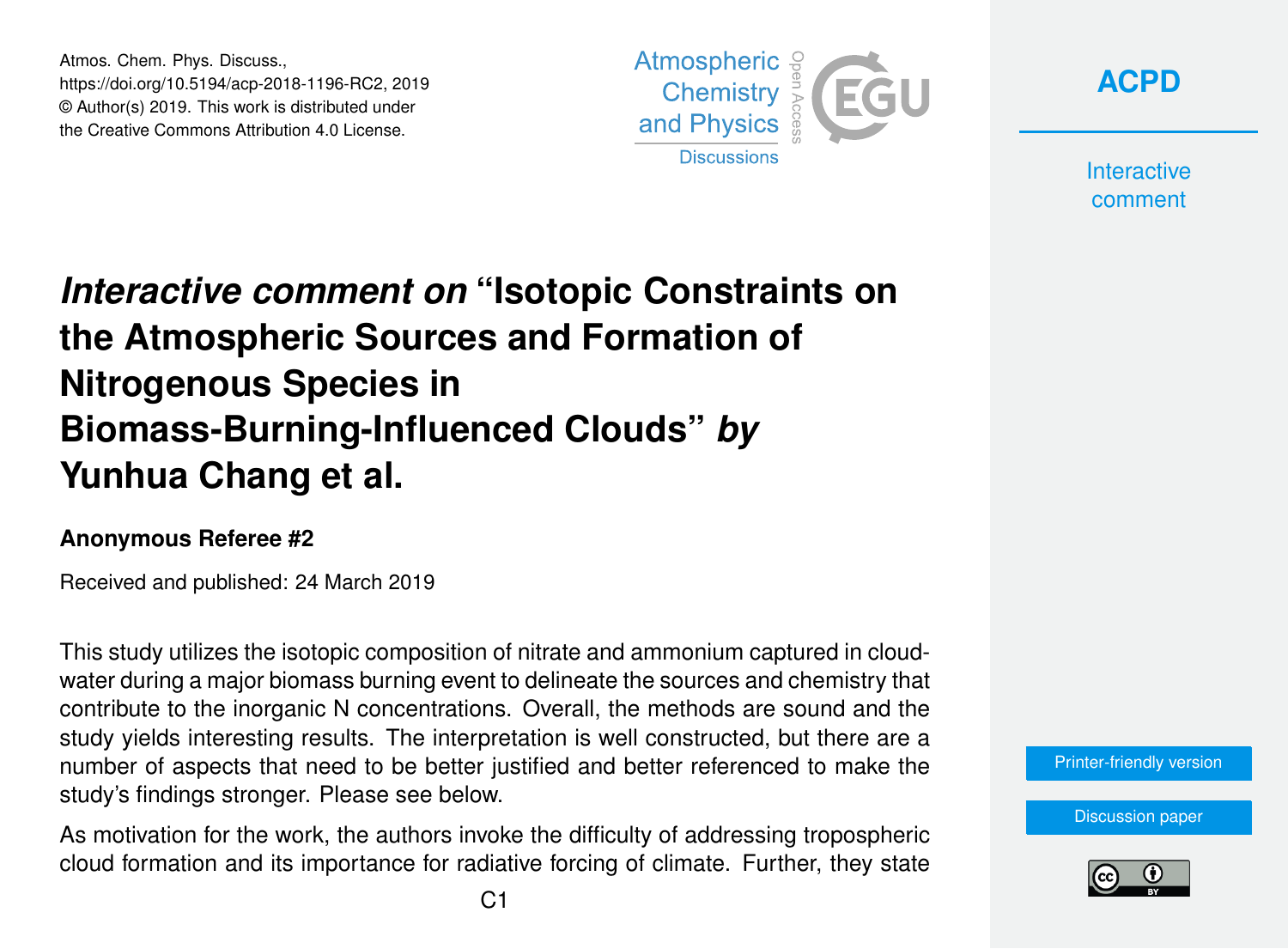Atmos. Chem. Phys. Discuss., https://doi.org/10.5194/acp-2018-1196-RC2, 2019 © Author(s) 2019. This work is distributed under the Creative Commons Attribution 4.0 License.



**[ACPD](https://www.atmos-chem-phys-discuss.net/)**

**Interactive** comment

## *Interactive comment on* **"Isotopic Constraints on the Atmospheric Sources and Formation of Nitrogenous Species in Biomass-Burning-Influenced Clouds"** *by* **Yunhua Chang et al.**

## **Anonymous Referee #2**

Received and published: 24 March 2019

This study utilizes the isotopic composition of nitrate and ammonium captured in cloudwater during a major biomass burning event to delineate the sources and chemistry that contribute to the inorganic N concentrations. Overall, the methods are sound and the study yields interesting results. The interpretation is well constructed, but there are a number of aspects that need to be better justified and better referenced to make the study's findings stronger. Please see below.

As motivation for the work, the authors invoke the difficulty of addressing tropospheric cloud formation and its importance for radiative forcing of climate. Further, they state



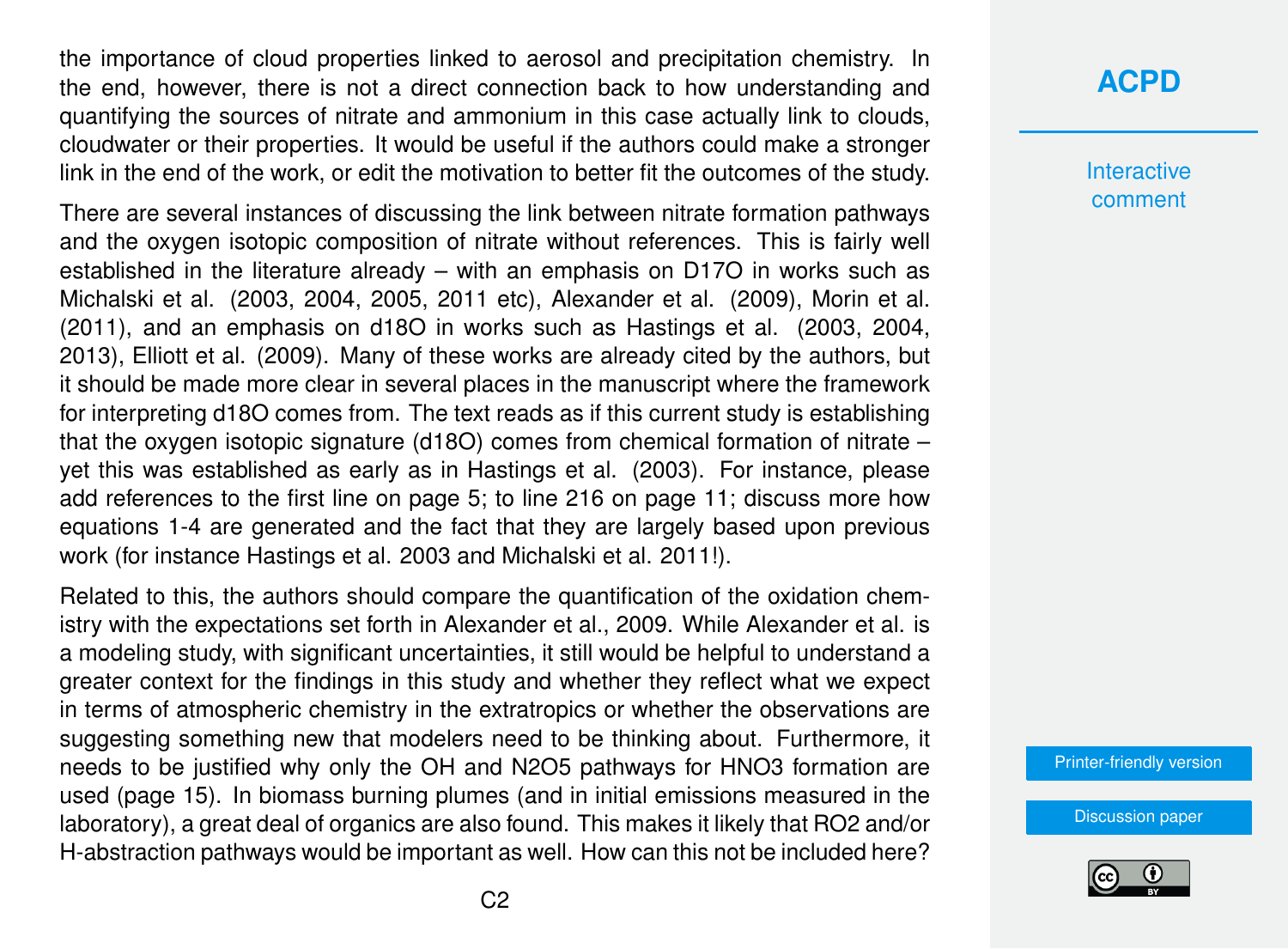the importance of cloud properties linked to aerosol and precipitation chemistry. In the end, however, there is not a direct connection back to how understanding and quantifying the sources of nitrate and ammonium in this case actually link to clouds, cloudwater or their properties. It would be useful if the authors could make a stronger link in the end of the work, or edit the motivation to better fit the outcomes of the study.

There are several instances of discussing the link between nitrate formation pathways and the oxygen isotopic composition of nitrate without references. This is fairly well established in the literature already – with an emphasis on D17O in works such as Michalski et al. (2003, 2004, 2005, 2011 etc), Alexander et al. (2009), Morin et al. (2011), and an emphasis on d18O in works such as Hastings et al. (2003, 2004, 2013), Elliott et al. (2009). Many of these works are already cited by the authors, but it should be made more clear in several places in the manuscript where the framework for interpreting d18O comes from. The text reads as if this current study is establishing that the oxygen isotopic signature (d18O) comes from chemical formation of nitrate – yet this was established as early as in Hastings et al. (2003). For instance, please add references to the first line on page 5; to line 216 on page 11; discuss more how equations 1-4 are generated and the fact that they are largely based upon previous work (for instance Hastings et al. 2003 and Michalski et al. 2011!).

Related to this, the authors should compare the quantification of the oxidation chemistry with the expectations set forth in Alexander et al., 2009. While Alexander et al. is a modeling study, with significant uncertainties, it still would be helpful to understand a greater context for the findings in this study and whether they reflect what we expect in terms of atmospheric chemistry in the extratropics or whether the observations are suggesting something new that modelers need to be thinking about. Furthermore, it needs to be justified why only the OH and N2O5 pathways for HNO3 formation are used (page 15). In biomass burning plumes (and in initial emissions measured in the laboratory), a great deal of organics are also found. This makes it likely that RO2 and/or H-abstraction pathways would be important as well. How can this not be included here?

## **[ACPD](https://www.atmos-chem-phys-discuss.net/)**

**Interactive** comment

[Printer-friendly version](https://www.atmos-chem-phys-discuss.net/acp-2018-1196/acp-2018-1196-RC2-print.pdf)

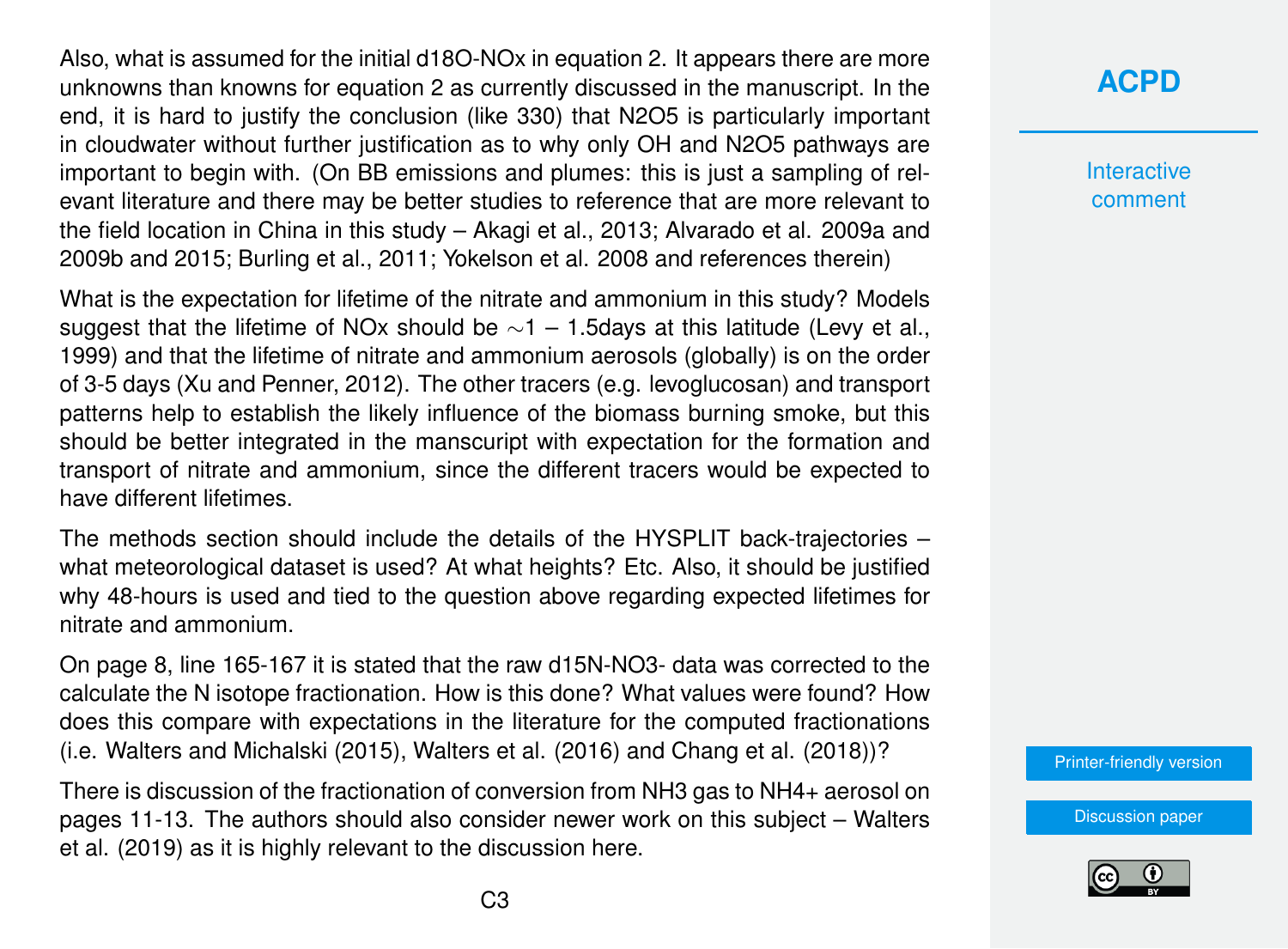Also, what is assumed for the initial d18O-NOx in equation 2. It appears there are more unknowns than knowns for equation 2 as currently discussed in the manuscript. In the end, it is hard to justify the conclusion (like 330) that N2O5 is particularly important in cloudwater without further justification as to why only OH and N2O5 pathways are important to begin with. (On BB emissions and plumes: this is just a sampling of relevant literature and there may be better studies to reference that are more relevant to the field location in China in this study – Akagi et al., 2013; Alvarado et al. 2009a and 2009b and 2015; Burling et al., 2011; Yokelson et al. 2008 and references therein)

What is the expectation for lifetime of the nitrate and ammonium in this study? Models suggest that the lifetime of NOx should be  $\sim$ 1 – 1.5days at this latitude (Levy et al., 1999) and that the lifetime of nitrate and ammonium aerosols (globally) is on the order of 3-5 days (Xu and Penner, 2012). The other tracers (e.g. levoglucosan) and transport patterns help to establish the likely influence of the biomass burning smoke, but this should be better integrated in the manscuript with expectation for the formation and transport of nitrate and ammonium, since the different tracers would be expected to have different lifetimes.

The methods section should include the details of the HYSPLIT back-trajectories – what meteorological dataset is used? At what heights? Etc. Also, it should be justified why 48-hours is used and tied to the question above regarding expected lifetimes for nitrate and ammonium.

On page 8, line 165-167 it is stated that the raw d15N-NO3- data was corrected to the calculate the N isotope fractionation. How is this done? What values were found? How does this compare with expectations in the literature for the computed fractionations (i.e. Walters and Michalski (2015), Walters et al. (2016) and Chang et al. (2018))?

There is discussion of the fractionation of conversion from NH3 gas to NH4+ aerosol on pages 11-13. The authors should also consider newer work on this subject – Walters et al. (2019) as it is highly relevant to the discussion here.

[Discussion paper](https://www.atmos-chem-phys-discuss.net/acp-2018-1196)



**Interactive** comment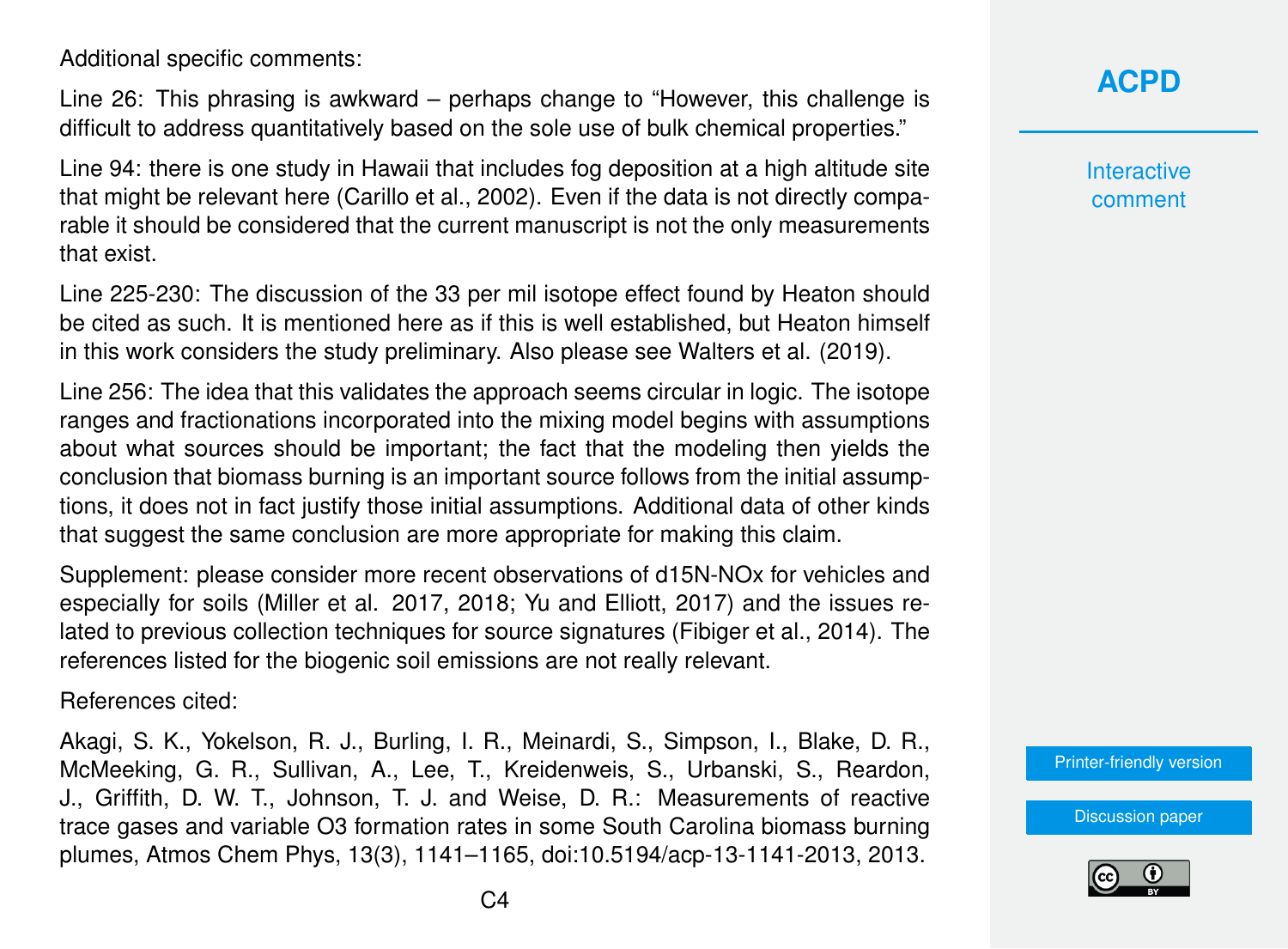Additional specific comments:

Line 26: This phrasing is awkward – perhaps change to "However, this challenge is difficult to address quantitatively based on the sole use of bulk chemical properties."

Line 94: there is one study in Hawaii that includes fog deposition at a high altitude site that might be relevant here (Carillo et al., 2002). Even if the data is not directly comparable it should be considered that the current manuscript is not the only measurements that exist.

Line 225-230: The discussion of the 33 per mil isotope effect found by Heaton should be cited as such. It is mentioned here as if this is well established, but Heaton himself in this work considers the study preliminary. Also please see Walters et al. (2019).

Line 256: The idea that this validates the approach seems circular in logic. The isotope ranges and fractionations incorporated into the mixing model begins with assumptions about what sources should be important; the fact that the modeling then yields the conclusion that biomass burning is an important source follows from the initial assumptions, it does not in fact justify those initial assumptions. Additional data of other kinds that suggest the same conclusion are more appropriate for making this claim.

Supplement: please consider more recent observations of d15N-NOx for vehicles and especially for soils (Miller et al. 2017, 2018; Yu and Elliott, 2017) and the issues related to previous collection techniques for source signatures (Fibiger et al., 2014). The references listed for the biogenic soil emissions are not really relevant.

References cited:

Akagi, S. K., Yokelson, R. J., Burling, I. R., Meinardi, S., Simpson, I., Blake, D. R., McMeeking, G. R., Sullivan, A., Lee, T., Kreidenweis, S., Urbanski, S., Reardon, J., Griffith, D. W. T., Johnson, T. J. and Weise, D. R.: Measurements of reactive trace gases and variable O3 formation rates in some South Carolina biomass burning plumes, Atmos Chem Phys, 13(3), 1141–1165, doi:10.5194/acp-13-1141-2013, 2013.

**[ACPD](https://www.atmos-chem-phys-discuss.net/)**

**Interactive** comment

[Printer-friendly version](https://www.atmos-chem-phys-discuss.net/acp-2018-1196/acp-2018-1196-RC2-print.pdf)

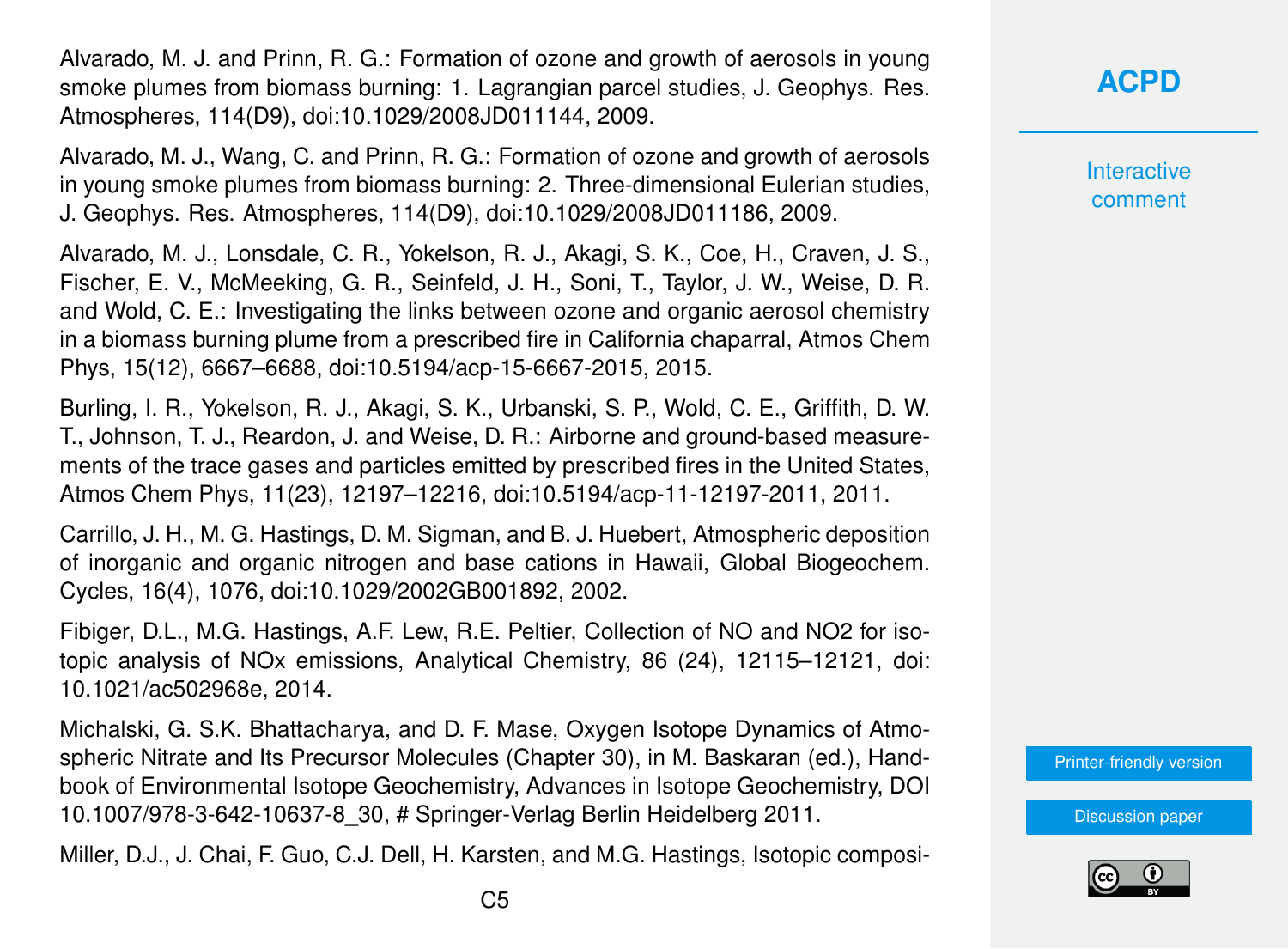Alvarado, M. J. and Prinn, R. G.: Formation of ozone and growth of aerosols in young smoke plumes from biomass burning: 1. Lagrangian parcel studies, J. Geophys. Res. Atmospheres, 114(D9), doi:10.1029/2008JD011144, 2009.

Alvarado, M. J., Wang, C. and Prinn, R. G.: Formation of ozone and growth of aerosols in young smoke plumes from biomass burning: 2. Three-dimensional Eulerian studies, J. Geophys. Res. Atmospheres, 114(D9), doi:10.1029/2008JD011186, 2009.

Alvarado, M. J., Lonsdale, C. R., Yokelson, R. J., Akagi, S. K., Coe, H., Craven, J. S., Fischer, E. V., McMeeking, G. R., Seinfeld, J. H., Soni, T., Taylor, J. W., Weise, D. R. and Wold, C. E.: Investigating the links between ozone and organic aerosol chemistry in a biomass burning plume from a prescribed fire in California chaparral, Atmos Chem Phys, 15(12), 6667–6688, doi:10.5194/acp-15-6667-2015, 2015.

Burling, I. R., Yokelson, R. J., Akagi, S. K., Urbanski, S. P., Wold, C. E., Griffith, D. W. T., Johnson, T. J., Reardon, J. and Weise, D. R.: Airborne and ground-based measurements of the trace gases and particles emitted by prescribed fires in the United States, Atmos Chem Phys, 11(23), 12197–12216, doi:10.5194/acp-11-12197-2011, 2011.

Carrillo, J. H., M. G. Hastings, D. M. Sigman, and B. J. Huebert, Atmospheric deposition of inorganic and organic nitrogen and base cations in Hawaii, Global Biogeochem. Cycles, 16(4), 1076, doi:10.1029/2002GB001892, 2002.

Fibiger, D.L., M.G. Hastings, A.F. Lew, R.E. Peltier, Collection of NO and NO2 for isotopic analysis of NOx emissions, Analytical Chemistry, 86 (24), 12115–12121, doi: 10.1021/ac502968e, 2014.

Michalski, G. S.K. Bhattacharya, and D. F. Mase, Oxygen Isotope Dynamics of Atmospheric Nitrate and Its Precursor Molecules (Chapter 30), in M. Baskaran (ed.), Handbook of Environmental Isotope Geochemistry, Advances in Isotope Geochemistry, DOI 10.1007/978-3-642-10637-8\_30, # Springer-Verlag Berlin Heidelberg 2011.

Miller, D.J., J. Chai, F. Guo, C.J. Dell, H. Karsten, and M.G. Hastings, Isotopic composi-

Interactive comment

[Printer-friendly version](https://www.atmos-chem-phys-discuss.net/acp-2018-1196/acp-2018-1196-RC2-print.pdf)